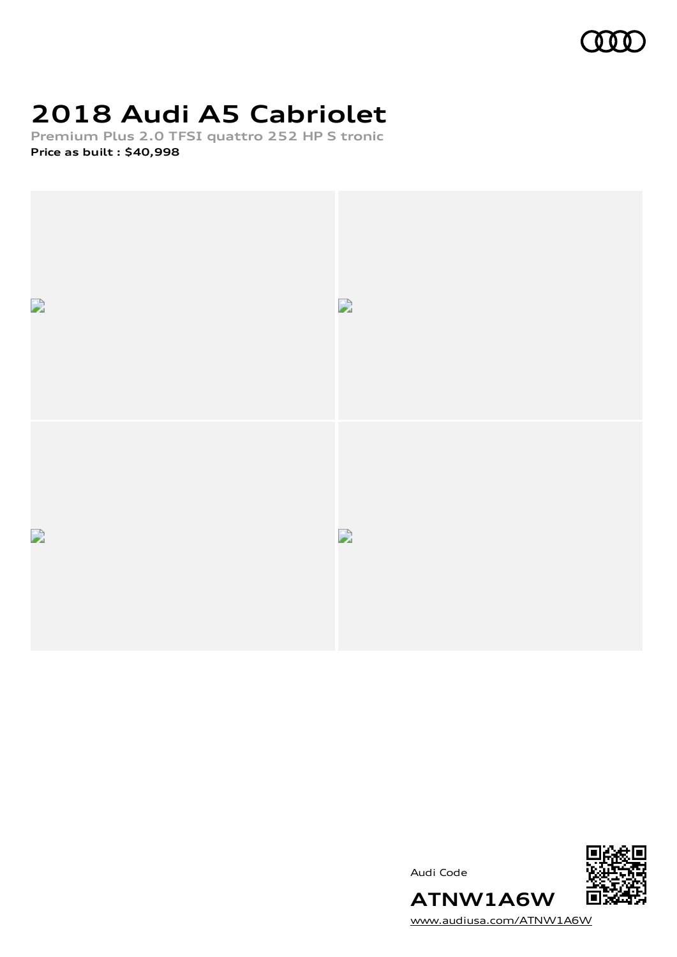# **2018 Audi A5 Cabriolet**

**Premium Plus 2.0 TFSI quattro 252 HP S tronic Price as built [:](#page-7-0) \$40,998**



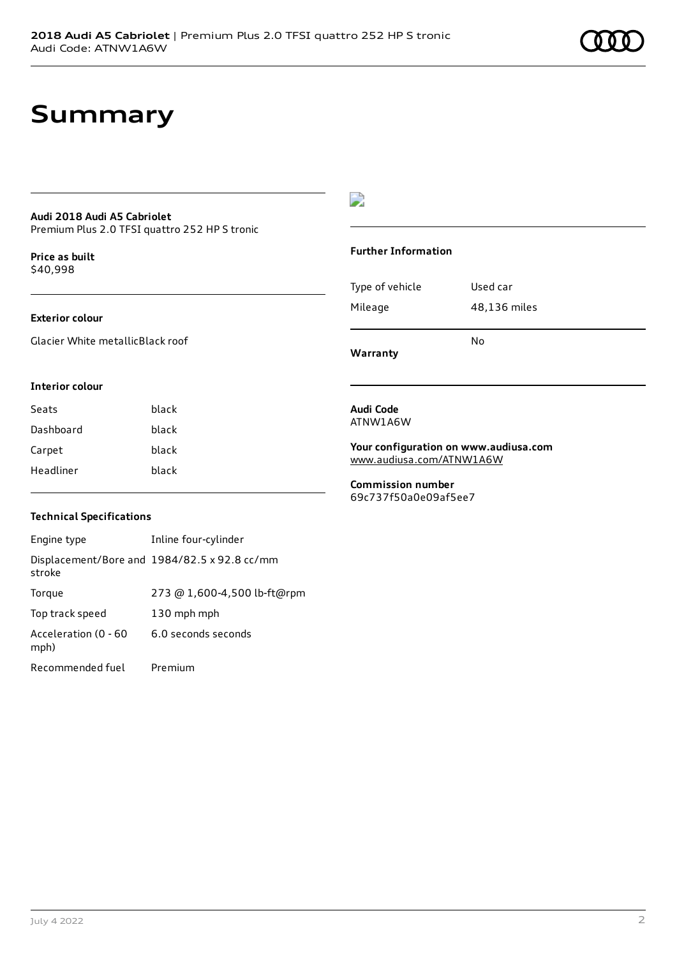# **Summary**

### **Audi 2018 Audi A5 Cabriolet** Premium Plus 2.0 TFSI quattro 252 HP S tronic

**Price as buil[t](#page-7-0)** \$40,998

## **Exterior colour**

Glacier White metallicBlack roof

# $\overline{\phantom{a}}$

## **Further Information**

|                 | N٥           |  |
|-----------------|--------------|--|
| Mileage         | 48,136 miles |  |
| Type of vehicle | Used car     |  |

**Warranty**

### **Interior colour**

| black |
|-------|
| black |
| black |
| black |
|       |

### **Audi Code** ATNW1A6W

**Your configuration on www.audiusa.com** [www.audiusa.com/ATNW1A6W](https://www.audiusa.com/ATNW1A6W)

**Commission number** 69c737f50a0e09af5ee7

## **Technical Specifications**

| Engine type                  | Inline four-cylinder                         |
|------------------------------|----------------------------------------------|
| stroke                       | Displacement/Bore and 1984/82.5 x 92.8 cc/mm |
| Torque                       | 273 @ 1,600-4,500 lb-ft@rpm                  |
| Top track speed              | 130 mph mph                                  |
| Acceleration (0 - 60<br>mph) | 6.0 seconds seconds                          |
| Recommended fuel             | Premium                                      |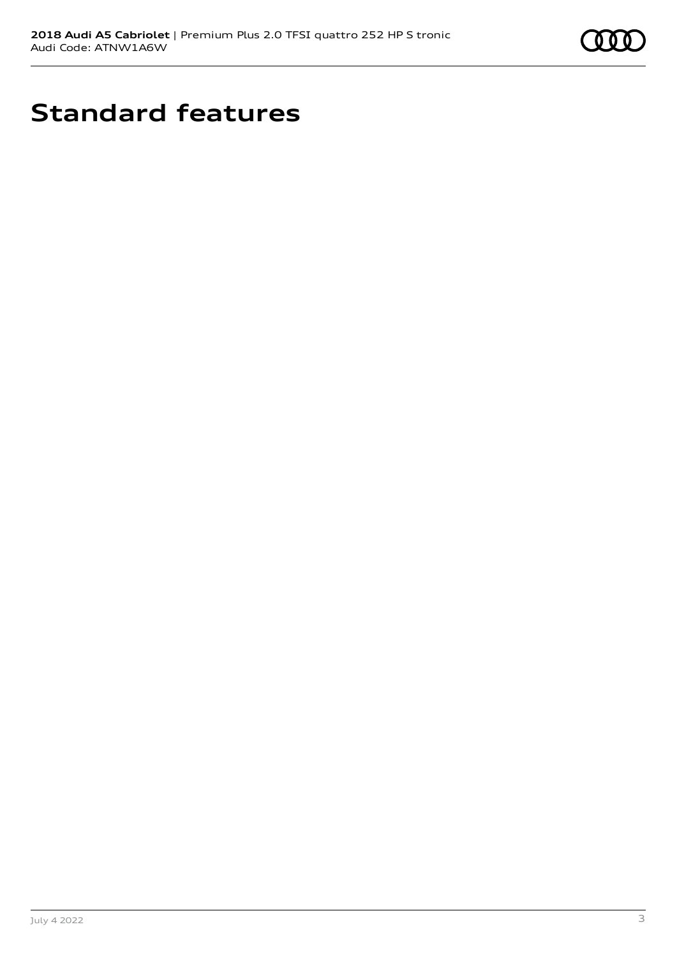

# **Standard features**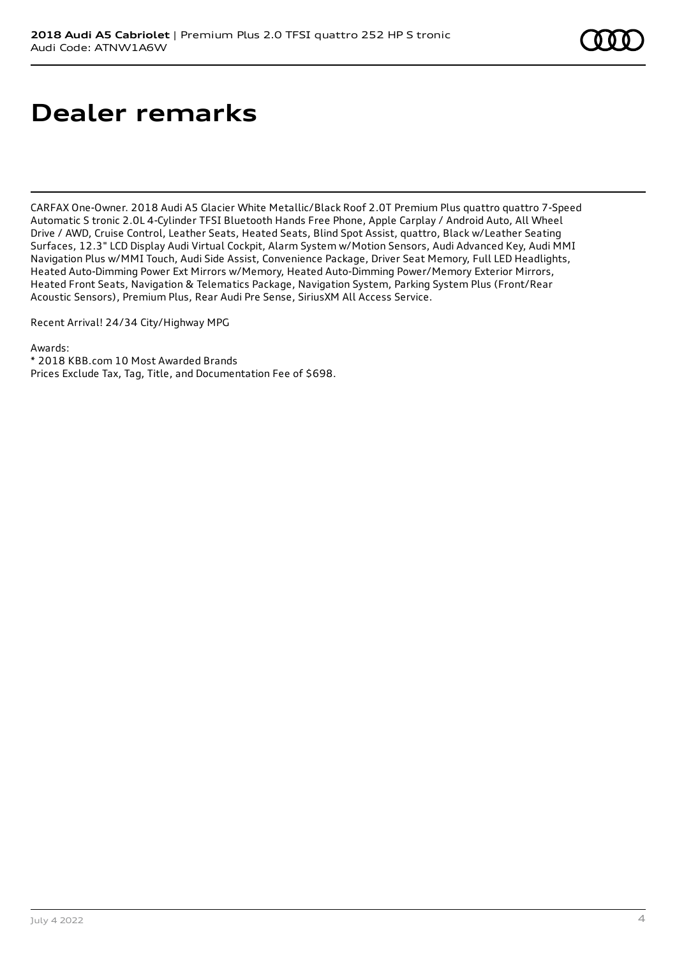# **Dealer remarks**

CARFAX One-Owner. 2018 Audi A5 Glacier White Metallic/Black Roof 2.0T Premium Plus quattro quattro 7-Speed Automatic S tronic 2.0L 4-Cylinder TFSI Bluetooth Hands Free Phone, Apple Carplay / Android Auto, All Wheel Drive / AWD, Cruise Control, Leather Seats, Heated Seats, Blind Spot Assist, quattro, Black w/Leather Seating Surfaces, 12.3" LCD Display Audi Virtual Cockpit, Alarm System w/Motion Sensors, Audi Advanced Key, Audi MMI Navigation Plus w/MMI Touch, Audi Side Assist, Convenience Package, Driver Seat Memory, Full LED Headlights, Heated Auto-Dimming Power Ext Mirrors w/Memory, Heated Auto-Dimming Power/Memory Exterior Mirrors, Heated Front Seats, Navigation & Telematics Package, Navigation System, Parking System Plus (Front/Rear Acoustic Sensors), Premium Plus, Rear Audi Pre Sense, SiriusXM All Access Service.

Recent Arrival! 24/34 City/Highway MPG

Awards:

\* 2018 KBB.com 10 Most Awarded Brands

Prices Exclude Tax, Tag, Title, and Documentation Fee of \$698.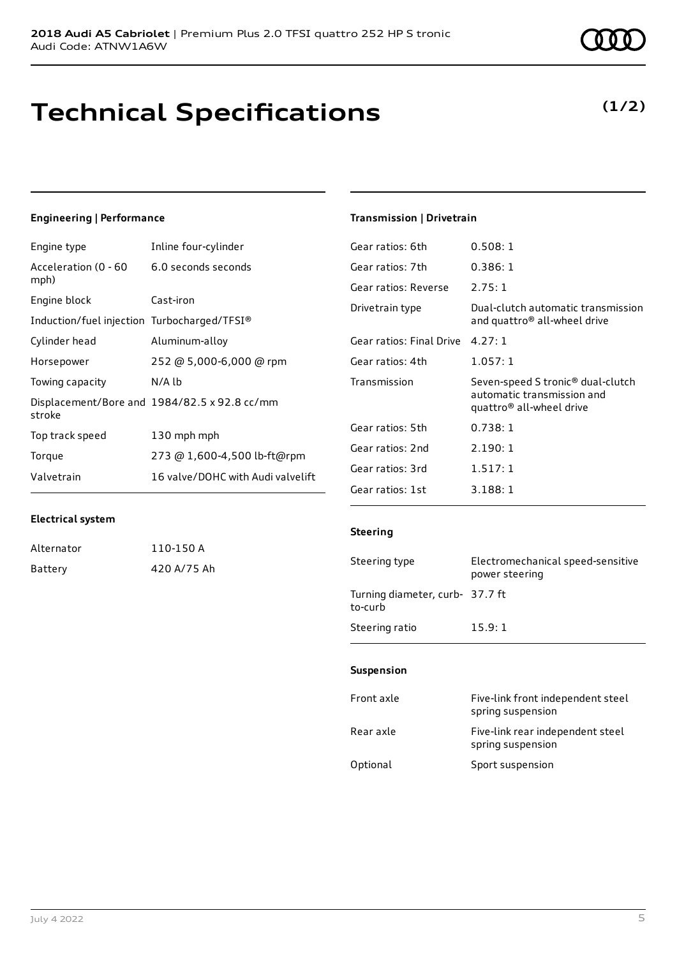# **Technical Specifications**

## **Engineering | Performance**

| Engine type                                 | Inline four-cylinder                         |
|---------------------------------------------|----------------------------------------------|
| Acceleration (0 - 60<br>mph)                | 6.0 seconds seconds                          |
| Engine block                                | Cast-iron                                    |
| Induction/fuel injection Turbocharged/TFSI® |                                              |
| Cylinder head                               | Aluminum-alloy                               |
| Horsepower                                  | 252 @ 5,000-6,000 @ rpm                      |
| Towing capacity                             | N/A lb                                       |
| stroke                                      | Displacement/Bore and 1984/82.5 x 92.8 cc/mm |
| Top track speed                             | 130 mph mph                                  |
| Torque                                      | 273 @ 1,600-4,500 lb-ft@rpm                  |
| Valvetrain                                  | 16 valve/DOHC with Audi valvelift            |

## **Transmission | Drivetrain**

| Gear ratios: 6th         | 0.508:1                                                                                     |
|--------------------------|---------------------------------------------------------------------------------------------|
| Gear ratios: 7th         | 0.386:1                                                                                     |
| Gear ratios: Reverse     | 2.75:1                                                                                      |
| Drivetrain type          | Dual-clutch automatic transmission<br>and quattro <sup>®</sup> all-wheel drive              |
| Gear ratios: Final Drive | 4.27:1                                                                                      |
| Gear ratios: 4th         | 1.057:1                                                                                     |
| Transmission             | Seven-speed S tronic® dual-clutch<br>automatic transmission and<br>quattro® all-wheel drive |
| Gear ratios: 5th         | 0.738:1                                                                                     |
| Gear ratios: 2nd         | 2.190:1                                                                                     |
| Gear ratios: 3rd         | 1.517:1                                                                                     |
| Gear ratios: 1st         | 3.188:1                                                                                     |

## **Electrical system**

| Alternator | 110-150 A   |
|------------|-------------|
| Battery    | 420 A/75 Ah |

## **Steering**

| Steering type                              | Electromechanical speed-sensitive<br>power steering |
|--------------------------------------------|-----------------------------------------------------|
| Turning diameter, curb- 37.7 ft<br>to-curb |                                                     |
| Steering ratio                             | 15.9:1                                              |

### **Suspension**

| Front axle | Five-link front independent steel<br>spring suspension |
|------------|--------------------------------------------------------|
| Rear axle  | Five-link rear independent steel<br>spring suspension  |
| Optional   | Sport suspension                                       |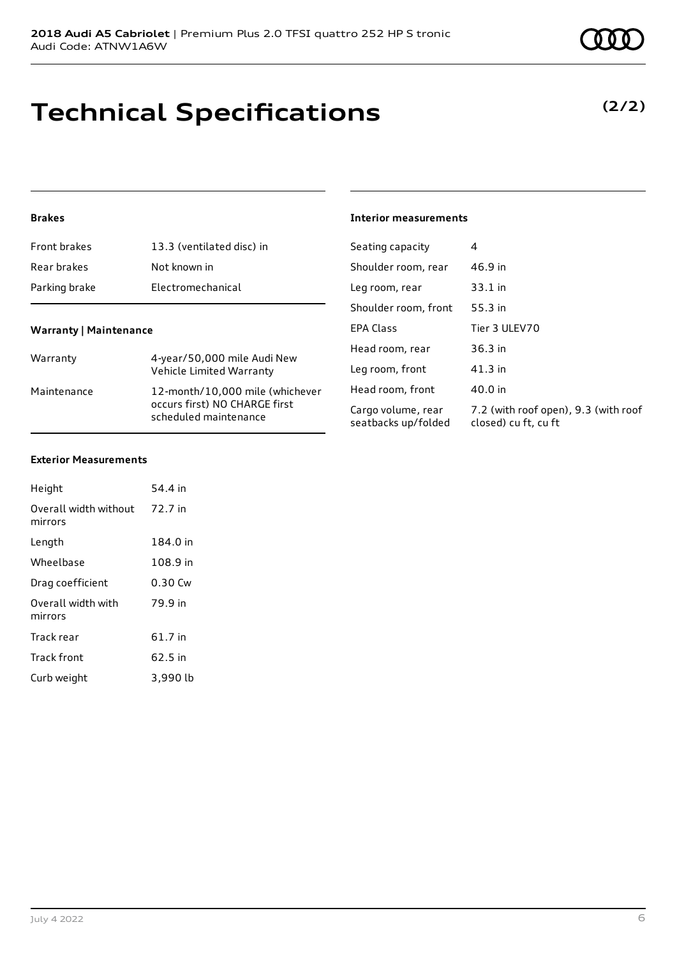# **Technical Specifications**

# **Brakes**

| Front brakes                  | 13.3 (ventilated disc) in                                                                 | Seating capacity                          | 4                                                            |
|-------------------------------|-------------------------------------------------------------------------------------------|-------------------------------------------|--------------------------------------------------------------|
| Rear brakes                   | Not known in                                                                              | Shoulder room, rear                       | 46.9 in                                                      |
| Parking brake                 | Electromechanical                                                                         | Leg room, rear                            | $33.1$ in                                                    |
|                               |                                                                                           | Shoulder room, front                      | 55.3 in                                                      |
| <b>Warranty   Maintenance</b> |                                                                                           | <b>EPA Class</b>                          | Tier 3 ULEV70                                                |
| Warranty                      | 4-year/50,000 mile Audi New                                                               | Head room, rear                           | 36.3 in                                                      |
|                               | Vehicle Limited Warranty                                                                  | Leg room, front                           | $41.3$ in                                                    |
| Maintenance                   | 12-month/10,000 mile (whichever<br>occurs first) NO CHARGE first<br>scheduled maintenance | Head room, front                          | 40.0 in                                                      |
|                               |                                                                                           | Cargo volume, rear<br>seatbacks up/folded | 7.2 (with roof open), 9.3 (with roof<br>closed) cu ft, cu ft |

**Interior measurements**

## **Exterior Measurements**

| Height                           | 54.4 in   |
|----------------------------------|-----------|
| Overall width without<br>mirrors | 72.7 in   |
| Length                           | 184.0 in  |
| Wheelbase                        | 108.9 in  |
| Drag coefficient                 | $0.30$ Cw |
| Overall width with<br>mirrors    | 79.9 in   |
| Track rear                       | 61.7 in   |
| Track front                      | 62.5 in   |
| Curb weight                      | 3,990 lb  |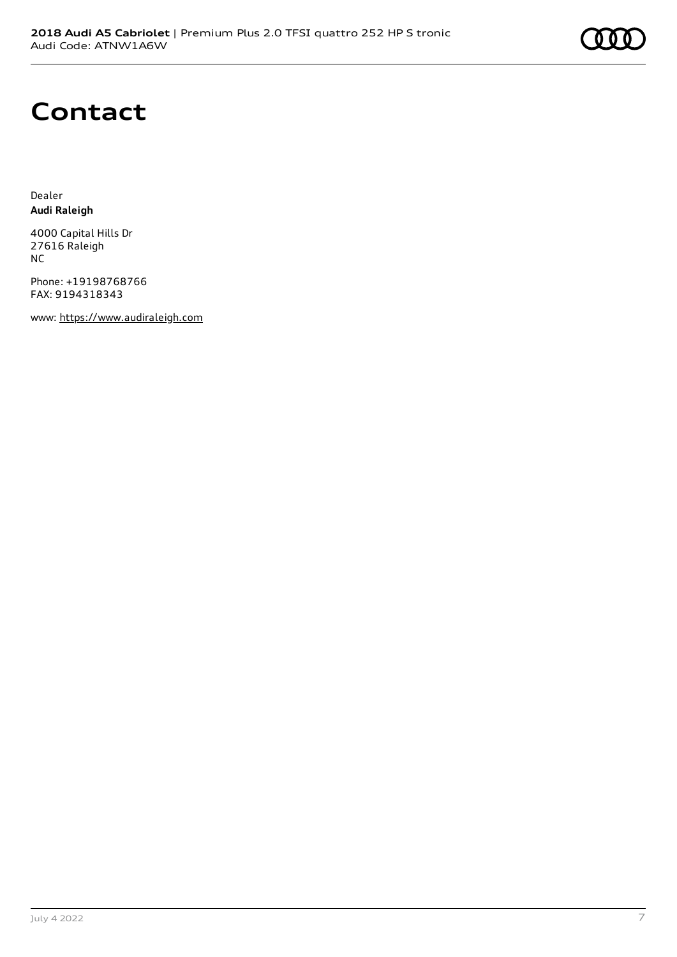

# **Contact**

Dealer **Audi Raleigh**

4000 Capital Hills Dr 27616 Raleigh NC

Phone: +19198768766 FAX: 9194318343

www: [https://www.audiraleigh.com](https://www.audiraleigh.com/)